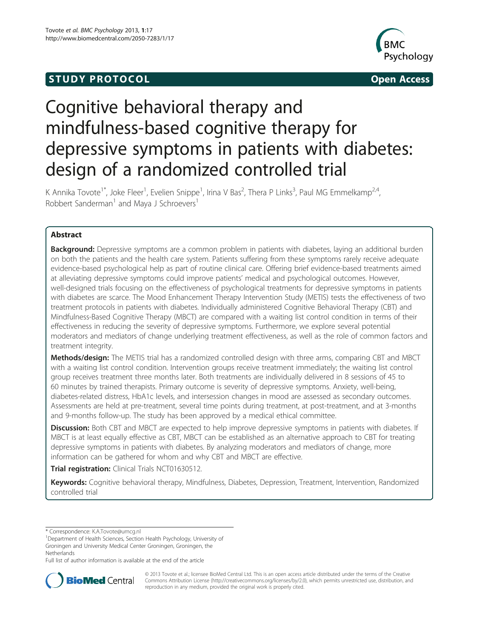# **STUDY PROTOCOL** And the set of the set of the set of the set of the set of the set of the set of the set of the set of the set of the set of the set of the set of the set of the set of the set of the set of the set of the



# Cognitive behavioral therapy and mindfulness-based cognitive therapy for depressive symptoms in patients with diabetes: design of a randomized controlled trial

K Annika Tovote<sup>1\*</sup>, Joke Fleer<sup>1</sup>, Evelien Snippe<sup>1</sup>, Irina V Bas<sup>2</sup>, Thera P Links<sup>3</sup>, Paul MG Emmelkamp<sup>2,4</sup>, Robbert Sanderman<sup>1</sup> and Maya J Schroevers<sup>1</sup>

# Abstract

Background: Depressive symptoms are a common problem in patients with diabetes, laying an additional burden on both the patients and the health care system. Patients suffering from these symptoms rarely receive adequate evidence-based psychological help as part of routine clinical care. Offering brief evidence-based treatments aimed at alleviating depressive symptoms could improve patients' medical and psychological outcomes. However, well-designed trials focusing on the effectiveness of psychological treatments for depressive symptoms in patients with diabetes are scarce. The Mood Enhancement Therapy Intervention Study (METIS) tests the effectiveness of two treatment protocols in patients with diabetes. Individually administered Cognitive Behavioral Therapy (CBT) and Mindfulness-Based Cognitive Therapy (MBCT) are compared with a waiting list control condition in terms of their effectiveness in reducing the severity of depressive symptoms. Furthermore, we explore several potential moderators and mediators of change underlying treatment effectiveness, as well as the role of common factors and treatment integrity.

Methods/design: The METIS trial has a randomized controlled design with three arms, comparing CBT and MBCT with a waiting list control condition. Intervention groups receive treatment immediately; the waiting list control group receives treatment three months later. Both treatments are individually delivered in 8 sessions of 45 to 60 minutes by trained therapists. Primary outcome is severity of depressive symptoms. Anxiety, well-being, diabetes-related distress, HbA1c levels, and intersession changes in mood are assessed as secondary outcomes. Assessments are held at pre-treatment, several time points during treatment, at post-treatment, and at 3-months and 9-months follow-up. The study has been approved by a medical ethical committee.

**Discussion:** Both CBT and MBCT are expected to help improve depressive symptoms in patients with diabetes. If MBCT is at least equally effective as CBT, MBCT can be established as an alternative approach to CBT for treating depressive symptoms in patients with diabetes. By analyzing moderators and mediators of change, more information can be gathered for whom and why CBT and MBCT are effective.

**Trial registration:** Clinical Trials [NCT01630512](http://clinicaltrials.gov/ct2/show/NCT01630512).

Keywords: Cognitive behavioral therapy, Mindfulness, Diabetes, Depression, Treatment, Intervention, Randomized controlled trial

\* Correspondence: [K.A.Tovote@umcg.nl](mailto:K.A.Tovote@umcg.nl) <sup>1</sup>

Full list of author information is available at the end of the article



© 2013 Tovote et al.; licensee BioMed Central Ltd. This is an open access article distributed under the terms of the Creative Commons Attribution License [\(http://creativecommons.org/licenses/by/2.0\)](http://creativecommons.org/licenses/by/2.0), which permits unrestricted use, distribution, and reproduction in any medium, provided the original work is properly cited.

Department of Health Sciences, Section Health Psychology, University of Groningen and University Medical Center Groningen, Groningen, the Netherlands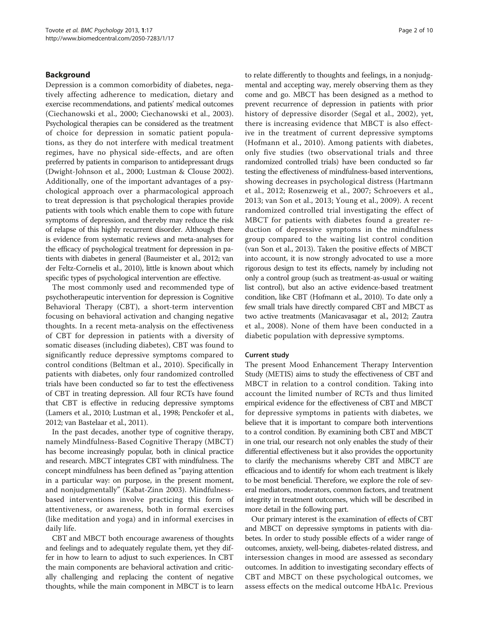# Background

Depression is a common comorbidity of diabetes, negatively affecting adherence to medication, dietary and exercise recommendations, and patients' medical outcomes (Ciechanowski et al., [2000;](#page-8-0) Ciechanowski et al., [2003\)](#page-8-0). Psychological therapies can be considered as the treatment of choice for depression in somatic patient populations, as they do not interfere with medical treatment regimes, have no physical side-effects, and are often preferred by patients in comparison to antidepressant drugs (Dwight-Johnson et al., [2000](#page-8-0); Lustman & Clouse [2002](#page-8-0)). Additionally, one of the important advantages of a psychological approach over a pharmacological approach to treat depression is that psychological therapies provide patients with tools which enable them to cope with future symptoms of depression, and thereby may reduce the risk of relapse of this highly recurrent disorder. Although there is evidence from systematic reviews and meta-analyses for the efficacy of psychological treatment for depression in patients with diabetes in general (Baumeister et al., [2012;](#page-8-0) van der Feltz-Cornelis et al., [2010\)](#page-9-0), little is known about which specific types of psychological intervention are effective.

The most commonly used and recommended type of psychotherapeutic intervention for depression is Cognitive Behavioral Therapy (CBT), a short-term intervention focusing on behavioral activation and changing negative thoughts. In a recent meta-analysis on the effectiveness of CBT for depression in patients with a diversity of somatic diseases (including diabetes), CBT was found to significantly reduce depressive symptoms compared to control conditions (Beltman et al., [2010\)](#page-8-0). Specifically in patients with diabetes, only four randomized controlled trials have been conducted so far to test the effectiveness of CBT in treating depression. All four RCTs have found that CBT is effective in reducing depressive symptoms (Lamers et al., [2010](#page-8-0); Lustman et al., [1998;](#page-8-0) Penckofer et al., [2012;](#page-9-0) van Bastelaar et al., [2011\)](#page-9-0).

In the past decades, another type of cognitive therapy, namely Mindfulness-Based Cognitive Therapy (MBCT) has become increasingly popular, both in clinical practice and research. MBCT integrates CBT with mindfulness. The concept mindfulness has been defined as "paying attention in a particular way: on purpose, in the present moment, and nonjudgmentally" (Kabat-Zinn [2003\)](#page-8-0). Mindfulnessbased interventions involve practicing this form of attentiveness, or awareness, both in formal exercises (like meditation and yoga) and in informal exercises in daily life.

CBT and MBCT both encourage awareness of thoughts and feelings and to adequately regulate them, yet they differ in how to learn to adjust to such experiences. In CBT the main components are behavioral activation and critically challenging and replacing the content of negative thoughts, while the main component in MBCT is to learn to relate differently to thoughts and feelings, in a nonjudgmental and accepting way, merely observing them as they come and go. MBCT has been designed as a method to prevent recurrence of depression in patients with prior history of depressive disorder (Segal et al., [2002](#page-9-0)), yet, there is increasing evidence that MBCT is also effective in the treatment of current depressive symptoms (Hofmann et al., [2010\)](#page-8-0). Among patients with diabetes, only five studies (two observational trials and three randomized controlled trials) have been conducted so far testing the effectiveness of mindfulness-based interventions, showing decreases in psychological distress (Hartmann et al., [2012](#page-8-0); Rosenzweig et al., [2007](#page-9-0); Schroevers et al., [2013](#page-9-0); van Son et al., [2013](#page-9-0); Young et al., [2009\)](#page-9-0). A recent randomized controlled trial investigating the effect of MBCT for patients with diabetes found a greater reduction of depressive symptoms in the mindfulness group compared to the waiting list control condition (van Son et al., [2013\)](#page-9-0). Taken the positive effects of MBCT into account, it is now strongly advocated to use a more rigorous design to test its effects, namely by including not only a control group (such as treatment-as-usual or waiting list control), but also an active evidence-based treatment condition, like CBT (Hofmann et al., [2010](#page-8-0)). To date only a few small trials have directly compared CBT and MBCT as two active treatments (Manicavasagar et al., [2012;](#page-9-0) Zautra et al., [2008\)](#page-9-0). None of them have been conducted in a diabetic population with depressive symptoms.

#### Current study

The present Mood Enhancement Therapy Intervention Study (METIS) aims to study the effectiveness of CBT and MBCT in relation to a control condition. Taking into account the limited number of RCTs and thus limited empirical evidence for the effectiveness of CBT and MBCT for depressive symptoms in patients with diabetes, we believe that it is important to compare both interventions to a control condition. By examining both CBT and MBCT in one trial, our research not only enables the study of their differential effectiveness but it also provides the opportunity to clarify the mechanisms whereby CBT and MBCT are efficacious and to identify for whom each treatment is likely to be most beneficial. Therefore, we explore the role of several mediators, moderators, common factors, and treatment integrity in treatment outcomes, which will be described in more detail in the following part.

Our primary interest is the examination of effects of CBT and MBCT on depressive symptoms in patients with diabetes. In order to study possible effects of a wider range of outcomes, anxiety, well-being, diabetes-related distress, and intersession changes in mood are assessed as secondary outcomes. In addition to investigating secondary effects of CBT and MBCT on these psychological outcomes, we assess effects on the medical outcome HbA1c. Previous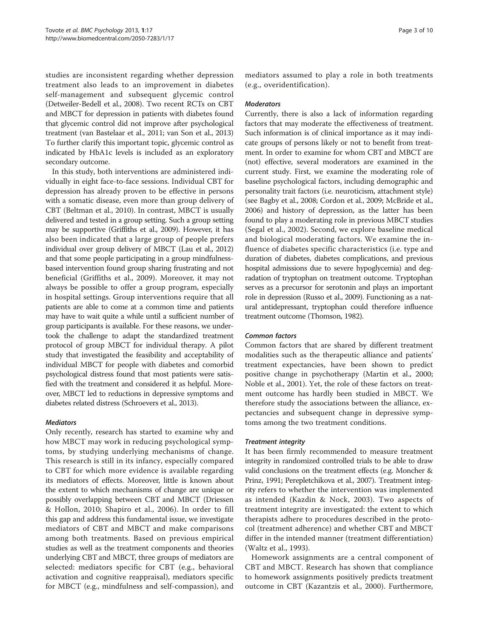studies are inconsistent regarding whether depression treatment also leads to an improvement in diabetes self-management and subsequent glycemic control (Detweiler-Bedell et al., [2008\)](#page-8-0). Two recent RCTs on CBT and MBCT for depression in patients with diabetes found that glycemic control did not improve after psychological treatment (van Bastelaar et al., [2011;](#page-9-0) van Son et al., [2013](#page-9-0)) To further clarify this important topic, glycemic control as indicated by HbA1c levels is included as an exploratory secondary outcome.

In this study, both interventions are administered individually in eight face-to-face sessions. Individual CBT for depression has already proven to be effective in persons with a somatic disease, even more than group delivery of CBT (Beltman et al., [2010](#page-8-0)). In contrast, MBCT is usually delivered and tested in a group setting. Such a group setting may be supportive (Griffiths et al., [2009\)](#page-8-0). However, it has also been indicated that a large group of people prefers individual over group delivery of MBCT (Lau et al., [2012](#page-8-0)) and that some people participating in a group mindfulnessbased intervention found group sharing frustrating and not beneficial (Griffiths et al., [2009\)](#page-8-0). Moreover, it may not always be possible to offer a group program, especially in hospital settings. Group interventions require that all patients are able to come at a common time and patients may have to wait quite a while until a sufficient number of group participants is available. For these reasons, we undertook the challenge to adapt the standardized treatment protocol of group MBCT for individual therapy. A pilot study that investigated the feasibility and acceptability of individual MBCT for people with diabetes and comorbid psychological distress found that most patients were satisfied with the treatment and considered it as helpful. Moreover, MBCT led to reductions in depressive symptoms and diabetes related distress (Schroevers et al., [2013\)](#page-9-0).

# Mediators

Only recently, research has started to examine why and how MBCT may work in reducing psychological symptoms, by studying underlying mechanisms of change. This research is still in its infancy, especially compared to CBT for which more evidence is available regarding its mediators of effects. Moreover, little is known about the extent to which mechanisms of change are unique or possibly overlapping between CBT and MBCT (Driessen & Hollon, [2010](#page-8-0); Shapiro et al., [2006](#page-9-0)). In order to fill this gap and address this fundamental issue, we investigate mediators of CBT and MBCT and make comparisons among both treatments. Based on previous empirical studies as well as the treatment components and theories underlying CBT and MBCT, three groups of mediators are selected: mediators specific for CBT (e.g., behavioral activation and cognitive reappraisal), mediators specific for MBCT (e.g., mindfulness and self-compassion), and mediators assumed to play a role in both treatments (e.g., overidentification).

#### **Moderators**

Currently, there is also a lack of information regarding factors that may moderate the effectiveness of treatment. Such information is of clinical importance as it may indicate groups of persons likely or not to benefit from treatment. In order to examine for whom CBT and MBCT are (not) effective, several moderators are examined in the current study. First, we examine the moderating role of baseline psychological factors, including demographic and personality trait factors (i.e. neuroticism, attachment style) (see Bagby et al., [2008](#page-8-0); Cordon et al., [2009;](#page-8-0) McBride et al., [2006](#page-9-0)) and history of depression, as the latter has been found to play a moderating role in previous MBCT studies (Segal et al., [2002\)](#page-9-0). Second, we explore baseline medical and biological moderating factors. We examine the influence of diabetes specific characteristics (i.e. type and duration of diabetes, diabetes complications, and previous hospital admissions due to severe hypoglycemia) and degradation of tryptophan on treatment outcome. Tryptophan serves as a precursor for serotonin and plays an important role in depression (Russo et al., [2009\)](#page-9-0). Functioning as a natural antidepressant, tryptophan could therefore influence treatment outcome (Thomson, [1982](#page-9-0)).

#### Common factors

Common factors that are shared by different treatment modalities such as the therapeutic alliance and patients' treatment expectancies, have been shown to predict positive change in psychotherapy (Martin et al., [2000](#page-9-0); Noble et al., [2001](#page-9-0)). Yet, the role of these factors on treatment outcome has hardly been studied in MBCT. We therefore study the associations between the alliance, expectancies and subsequent change in depressive symptoms among the two treatment conditions.

#### Treatment integrity

It has been firmly recommended to measure treatment integrity in randomized controlled trials to be able to draw valid conclusions on the treatment effects (e.g. Moncher & Prinz, [1991;](#page-9-0) Perepletchikova et al., [2007\)](#page-9-0). Treatment integrity refers to whether the intervention was implemented as intended (Kazdin & Nock, [2003](#page-8-0)). Two aspects of treatment integrity are investigated: the extent to which therapists adhere to procedures described in the protocol (treatment adherence) and whether CBT and MBCT differ in the intended manner (treatment differentiation) (Waltz et al., [1993](#page-9-0)).

Homework assignments are a central component of CBT and MBCT. Research has shown that compliance to homework assignments positively predicts treatment outcome in CBT (Kazantzis et al., [2000](#page-8-0)). Furthermore,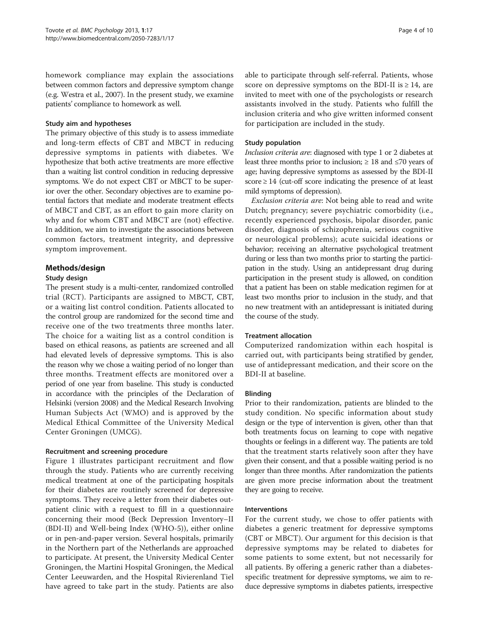homework compliance may explain the associations between common factors and depressive symptom change (e.g. Westra et al., [2007](#page-9-0)). In the present study, we examine patients' compliance to homework as well.

#### Study aim and hypotheses

The primary objective of this study is to assess immediate and long-term effects of CBT and MBCT in reducing depressive symptoms in patients with diabetes. We hypothesize that both active treatments are more effective than a waiting list control condition in reducing depressive symptoms. We do not expect CBT or MBCT to be superior over the other. Secondary objectives are to examine potential factors that mediate and moderate treatment effects of MBCT and CBT, as an effort to gain more clarity on why and for whom CBT and MBCT are (not) effective. In addition, we aim to investigate the associations between common factors, treatment integrity, and depressive symptom improvement.

# Methods/design

#### Study design

The present study is a multi-center, randomized controlled trial (RCT). Participants are assigned to MBCT, CBT, or a waiting list control condition. Patients allocated to the control group are randomized for the second time and receive one of the two treatments three months later. The choice for a waiting list as a control condition is based on ethical reasons, as patients are screened and all had elevated levels of depressive symptoms. This is also the reason why we chose a waiting period of no longer than three months. Treatment effects are monitored over a period of one year from baseline. This study is conducted in accordance with the principles of the Declaration of Helsinki (version 2008) and the Medical Research Involving Human Subjects Act (WMO) and is approved by the Medical Ethical Committee of the University Medical Center Groningen (UMCG).

# Recruitment and screening procedure

Figure [1](#page-4-0) illustrates participant recruitment and flow through the study. Patients who are currently receiving medical treatment at one of the participating hospitals for their diabetes are routinely screened for depressive symptoms. They receive a letter from their diabetes outpatient clinic with a request to fill in a questionnaire concerning their mood (Beck Depression Inventory–II (BDI-II) and Well-being Index (WHO-5)), either online or in pen-and-paper version. Several hospitals, primarily in the Northern part of the Netherlands are approached to participate. At present, the University Medical Center Groningen, the Martini Hospital Groningen, the Medical Center Leeuwarden, and the Hospital Rivierenland Tiel have agreed to take part in the study. Patients are also

able to participate through self-referral. Patients, whose score on depressive symptoms on the BDI-II is  $\geq$  14, are invited to meet with one of the psychologists or research assistants involved in the study. Patients who fulfill the inclusion criteria and who give written informed consent for participation are included in the study.

#### Study population

Inclusion criteria are: diagnosed with type 1 or 2 diabetes at least three months prior to inclusion;  $\geq 18$  and  $\leq 70$  years of age; having depressive symptoms as assessed by the BDI-II score  $\geq$  14 (cut-off score indicating the presence of at least mild symptoms of depression).

Exclusion criteria are: Not being able to read and write Dutch; pregnancy; severe psychiatric comorbidity (i.e., recently experienced psychosis, bipolar disorder, panic disorder, diagnosis of schizophrenia, serious cognitive or neurological problems); acute suicidal ideations or behavior; receiving an alternative psychological treatment during or less than two months prior to starting the participation in the study. Using an antidepressant drug during participation in the present study is allowed, on condition that a patient has been on stable medication regimen for at least two months prior to inclusion in the study, and that no new treatment with an antidepressant is initiated during the course of the study.

#### Treatment allocation

Computerized randomization within each hospital is carried out, with participants being stratified by gender, use of antidepressant medication, and their score on the BDI-II at baseline.

#### Blinding

Prior to their randomization, patients are blinded to the study condition. No specific information about study design or the type of intervention is given, other than that both treatments focus on learning to cope with negative thoughts or feelings in a different way. The patients are told that the treatment starts relatively soon after they have given their consent, and that a possible waiting period is no longer than three months. After randomization the patients are given more precise information about the treatment they are going to receive.

#### Interventions

For the current study, we chose to offer patients with diabetes a generic treatment for depressive symptoms (CBT or MBCT). Our argument for this decision is that depressive symptoms may be related to diabetes for some patients to some extent, but not necessarily for all patients. By offering a generic rather than a diabetesspecific treatment for depressive symptoms, we aim to reduce depressive symptoms in diabetes patients, irrespective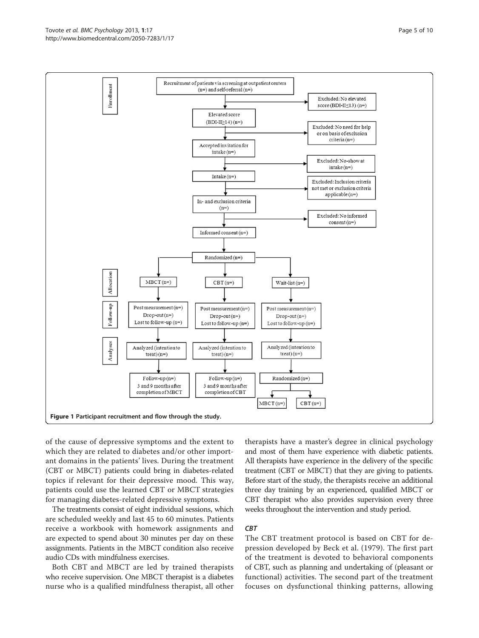<span id="page-4-0"></span>

of the cause of depressive symptoms and the extent to which they are related to diabetes and/or other important domains in the patients' lives. During the treatment (CBT or MBCT) patients could bring in diabetes-related topics if relevant for their depressive mood. This way, patients could use the learned CBT or MBCT strategies for managing diabetes-related depressive symptoms.

The treatments consist of eight individual sessions, which are scheduled weekly and last 45 to 60 minutes. Patients receive a workbook with homework assignments and are expected to spend about 30 minutes per day on these assignments. Patients in the MBCT condition also receive audio CDs with mindfulness exercises.

Both CBT and MBCT are led by trained therapists who receive supervision. One MBCT therapist is a diabetes nurse who is a qualified mindfulness therapist, all other

therapists have a master's degree in clinical psychology and most of them have experience with diabetic patients. All therapists have experience in the delivery of the specific treatment (CBT or MBCT) that they are giving to patients. Before start of the study, the therapists receive an additional three day training by an experienced, qualified MBCT or CBT therapist who also provides supervision every three weeks throughout the intervention and study period.

# CBT

The CBT treatment protocol is based on CBT for depression developed by Beck et al. ([1979\)](#page-8-0). The first part of the treatment is devoted to behavioral components of CBT, such as planning and undertaking of (pleasant or functional) activities. The second part of the treatment focuses on dysfunctional thinking patterns, allowing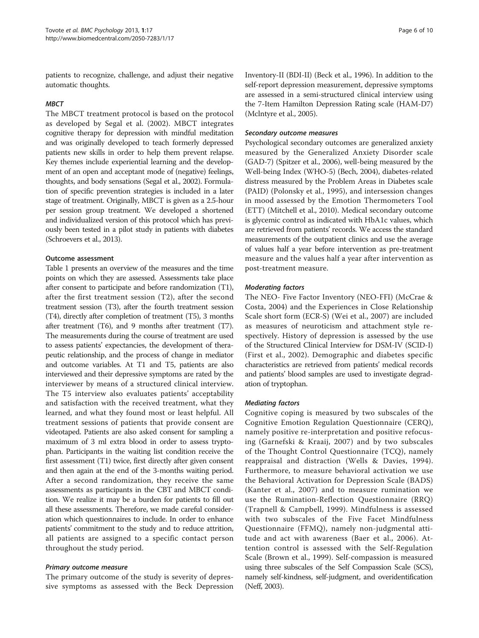patients to recognize, challenge, and adjust their negative automatic thoughts.

#### **MBCT**

The MBCT treatment protocol is based on the protocol as developed by Segal et al. [\(2002](#page-9-0)). MBCT integrates cognitive therapy for depression with mindful meditation and was originally developed to teach formerly depressed patients new skills in order to help them prevent relapse. Key themes include experiential learning and the development of an open and acceptant mode of (negative) feelings, thoughts, and body sensations (Segal et al., [2002](#page-9-0)). Formulation of specific prevention strategies is included in a later stage of treatment. Originally, MBCT is given as a 2.5-hour per session group treatment. We developed a shortened and individualized version of this protocol which has previously been tested in a pilot study in patients with diabetes (Schroevers et al., [2013\)](#page-9-0).

#### Outcome assessment

Table [1](#page-6-0) presents an overview of the measures and the time points on which they are assessed. Assessments take place after consent to participate and before randomization (T1), after the first treatment session (T2), after the second treatment session (T3), after the fourth treatment session (T4), directly after completion of treatment (T5), 3 months after treatment (T6), and 9 months after treatment (T7). The measurements during the course of treatment are used to assess patients' expectancies, the development of therapeutic relationship, and the process of change in mediator and outcome variables. At T1 and T5, patients are also interviewed and their depressive symptoms are rated by the interviewer by means of a structured clinical interview. The T5 interview also evaluates patients' acceptability and satisfaction with the received treatment, what they learned, and what they found most or least helpful. All treatment sessions of patients that provide consent are videotaped. Patients are also asked consent for sampling a maximum of 3 ml extra blood in order to assess tryptophan. Participants in the waiting list condition receive the first assessment (T1) twice, first directly after given consent and then again at the end of the 3-months waiting period. After a second randomization, they receive the same assessments as participants in the CBT and MBCT condition. We realize it may be a burden for patients to fill out all these assessments. Therefore, we made careful consideration which questionnaires to include. In order to enhance patients' commitment to the study and to reduce attrition, all patients are assigned to a specific contact person throughout the study period.

#### Primary outcome measure

The primary outcome of the study is severity of depressive symptoms as assessed with the Beck Depression Inventory-II (BDI-II) (Beck et al., [1996\)](#page-8-0). In addition to the self-report depression measurement, depressive symptoms are assessed in a semi-structured clinical interview using the 7-Item Hamilton Depression Rating scale (HAM-D7) (Mclntyre et al., [2005\)](#page-9-0).

#### Secondary outcome measures

Psychological secondary outcomes are generalized anxiety measured by the Generalized Anxiety Disorder scale (GAD-7) (Spitzer et al., [2006](#page-9-0)), well-being measured by the Well-being Index (WHO-5) (Bech, [2004](#page-8-0)), diabetes-related distress measured by the Problem Areas in Diabetes scale (PAID) (Polonsky et al., [1995](#page-9-0)), and intersession changes in mood assessed by the Emotion Thermometers Tool (ETT) (Mitchell et al., [2010](#page-9-0)). Medical secondary outcome is glycemic control as indicated with HbA1c values, which are retrieved from patients' records. We access the standard measurements of the outpatient clinics and use the average of values half a year before intervention as pre-treatment measure and the values half a year after intervention as post-treatment measure.

#### Moderating factors

The NEO- Five Factor Inventory (NEO-FFI) (McCrae & Costa, [2004](#page-9-0)) and the Experiences in Close Relationship Scale short form (ECR-S) (Wei et al., [2007](#page-9-0)) are included as measures of neuroticism and attachment style respectively. History of depression is assessed by the use of the Structured Clinical Interview for DSM-IV (SCID-I) (First et al., [2002\)](#page-8-0). Demographic and diabetes specific characteristics are retrieved from patients' medical records and patients' blood samples are used to investigate degradation of tryptophan.

#### Mediating factors

Cognitive coping is measured by two subscales of the Cognitive Emotion Regulation Questionnaire (CERQ), namely positive re-interpretation and positive refocusing (Garnefski & Kraaij, [2007](#page-8-0)) and by two subscales of the Thought Control Questionnaire (TCQ), namely reappraisal and distraction (Wells & Davies, [1994](#page-9-0)). Furthermore, to measure behavioral activation we use the Behavioral Activation for Depression Scale (BADS) (Kanter et al., [2007\)](#page-8-0) and to measure rumination we use the Rumination-Reflection Questionnaire (RRQ) (Trapnell & Campbell, [1999\)](#page-9-0). Mindfulness is assessed with two subscales of the Five Facet Mindfulness Questionnaire (FFMQ), namely non-judgmental attitude and act with awareness (Baer et al., [2006](#page-8-0)). Attention control is assessed with the Self-Regulation Scale (Brown et al., [1999\)](#page-8-0). Self-compassion is measured using three subscales of the Self Compassion Scale (SCS), namely self-kindness, self-judgment, and overidentification (Neff, [2003](#page-9-0)).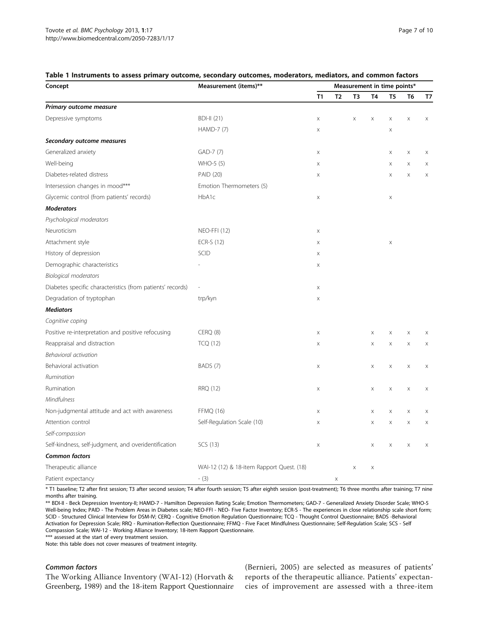#### <span id="page-6-0"></span>Table 1 Instruments to assess primary outcome, secondary outcomes, moderators, mediators, and common factors

| Concept                                                    | Measurement (items)**                     | Measurement in time points* |           |    |                       |                |                           |                           |
|------------------------------------------------------------|-------------------------------------------|-----------------------------|-----------|----|-----------------------|----------------|---------------------------|---------------------------|
|                                                            |                                           | T <sub>1</sub>              | <b>T2</b> | T3 | T <sub>4</sub>        | T <sub>5</sub> | T6                        | T7                        |
| Primary outcome measure                                    |                                           |                             |           |    |                       |                |                           |                           |
| Depressive symptoms                                        | <b>BDI-II</b> (21)                        | X                           |           | X  | X                     | X              | $\mathsf X$               | X                         |
|                                                            | HAMD-7 (7)                                | X                           |           |    |                       | X              |                           |                           |
| Secondary outcome measures                                 |                                           |                             |           |    |                       |                |                           |                           |
| Generalized anxiety                                        | GAD-7 (7)                                 | X                           |           |    |                       | X              | X                         | X                         |
| Well-being                                                 | WHO-5 (5)                                 | $\boldsymbol{\times}$       |           |    |                       | $\times$       | $\times$                  | $\boldsymbol{\mathsf{X}}$ |
| Diabetes-related distress                                  | PAID (20)                                 | X                           |           |    |                       | X              | $\times$                  | $\times$                  |
| Intersession changes in mood***                            | Emotion Thermometers (5)                  |                             |           |    |                       |                |                           |                           |
| Glycemic control (from patients' records)                  | HbA1c                                     | Χ                           |           |    |                       | Χ              |                           |                           |
| <b>Moderators</b>                                          |                                           |                             |           |    |                       |                |                           |                           |
| Psychological moderators                                   |                                           |                             |           |    |                       |                |                           |                           |
| Neuroticism                                                | NEO-FFI (12)                              | X                           |           |    |                       |                |                           |                           |
| Attachment style                                           | ECR-S (12)                                | X                           |           |    |                       | Χ              |                           |                           |
| History of depression                                      | SCID                                      | X                           |           |    |                       |                |                           |                           |
| Demographic characteristics                                |                                           | X                           |           |    |                       |                |                           |                           |
| <b>Biological moderators</b>                               |                                           |                             |           |    |                       |                |                           |                           |
| Diabetes specific characteristics (from patients' records) |                                           | $\mathsf X$                 |           |    |                       |                |                           |                           |
| Degradation of tryptophan                                  | trp/kyn                                   | $\mathsf X$                 |           |    |                       |                |                           |                           |
| <b>Mediators</b>                                           |                                           |                             |           |    |                       |                |                           |                           |
| Cognitive coping                                           |                                           |                             |           |    |                       |                |                           |                           |
| Positive re-interpretation and positive refocusing         | CERQ (8)                                  | $\mathsf X$                 |           |    | $\boldsymbol{\times}$ | Χ              | $\times$                  | Χ                         |
| Reappraisal and distraction                                | <b>TCQ (12)</b>                           | X                           |           |    | X                     | $\times$       | $\boldsymbol{\times}$     | X                         |
| Behavioral activation                                      |                                           |                             |           |    |                       |                |                           |                           |
| Behavioral activation                                      | BADS (7)                                  | X                           |           |    | X                     | X              | $\boldsymbol{\mathsf{X}}$ | X                         |
| Rumination                                                 |                                           |                             |           |    |                       |                |                           |                           |
| Rumination                                                 | RRQ (12)                                  | Χ                           |           |    | $\boldsymbol{\times}$ | $\mathsf X$    | $\mathsf X$               | $\times$                  |
| Mindfulness                                                |                                           |                             |           |    |                       |                |                           |                           |
| Non-judgmental attitude and act with awareness             | <b>FFMQ (16)</b>                          | $\boldsymbol{\times}$       |           |    | X                     | $\mathsf X$    | $\boldsymbol{\times}$     | X                         |
| Attention control                                          | Self-Regulation Scale (10)                | $\mathsf X$                 |           |    | $\mathsf X$           | Χ              | $\times$                  | $\times$                  |
| Self-compassion                                            |                                           |                             |           |    |                       |                |                           |                           |
| Self-kindness, self-judgment, and overidentification       | SCS (13)                                  | $\mathsf X$                 |           |    | $\boldsymbol{\times}$ | $\mathsf X$    | $\boldsymbol{\mathsf{X}}$ | $\times$                  |
| <b>Common factors</b>                                      |                                           |                             |           |    |                       |                |                           |                           |
| Therapeutic alliance                                       | WAI-12 (12) & 18-item Rapport Quest. (18) |                             |           | X  | X                     |                |                           |                           |
| Patient expectancy                                         | $-$ (3)                                   |                             | X         |    |                       |                |                           |                           |

\* T1 baseline; T2 after first session; T3 after second session; T4 after fourth session; T5 after eighth session (post-treatment); T6 three months after training; T7 nine months after training.

\*\* BDI-II - Beck Depression Inventory-II; HAMD-7 - Hamilton Depression Rating Scale; Emotion Thermometers; GAD-7 - Generalized Anxiety Disorder Scale; WHO-5 Well-being Index; PAID - The Problem Areas in Diabetes scale; NEO-FFI - NEO- Five Factor Inventory; ECR-S - The experiences in close relationship scale short form; SCID - Structured Clinical Interview for DSM-IV; CERQ - Cognitive Emotion Regulation Questionnaire; TCQ - Thought Control Questionnaire; BADS -Behavioral Activation for Depression Scale; RRQ - Rumination-Reflection Questionnaire; FFMQ - Five Facet Mindfulness Questionnaire; Self-Regulation Scale; SCS - Self Compassion Scale; WAI-12 - Working Alliance Inventory; 18-item Rapport Questionnaire.

\*\*\* assessed at the start of every treatment session.

Note: this table does not cover measures of treatment integrity.

#### Common factors

The Working Alliance Inventory (WAI-12) (Horvath & Greenberg, [1989\)](#page-8-0) and the 18-item Rapport Questionnaire (Bernieri, [2005](#page-8-0)) are selected as measures of patients' reports of the therapeutic alliance. Patients' expectancies of improvement are assessed with a three-item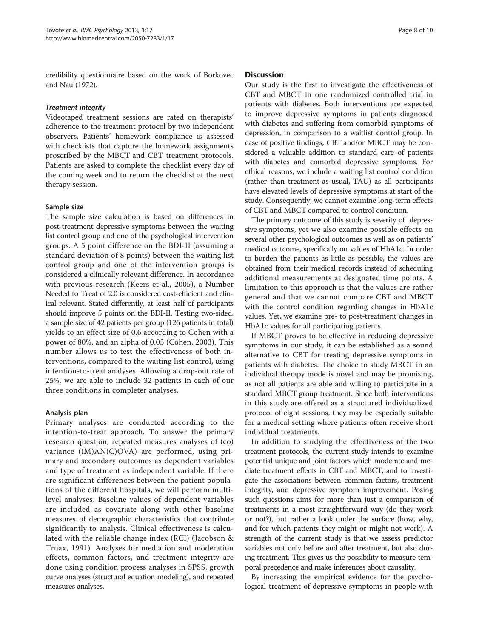credibility questionnaire based on the work of Borkovec and Nau ([1972\)](#page-8-0).

#### Treatment integrity

Videotaped treatment sessions are rated on therapists' adherence to the treatment protocol by two independent observers. Patients' homework compliance is assessed with checklists that capture the homework assignments proscribed by the MBCT and CBT treatment protocols. Patients are asked to complete the checklist every day of the coming week and to return the checklist at the next therapy session.

#### Sample size

The sample size calculation is based on differences in post-treatment depressive symptoms between the waiting list control group and one of the psychological intervention groups. A 5 point difference on the BDI-II (assuming a standard deviation of 8 points) between the waiting list control group and one of the intervention groups is considered a clinically relevant difference. In accordance with previous research (Keers et al., [2005](#page-8-0)), a Number Needed to Treat of 2.0 is considered cost-efficient and clinical relevant. Stated differently, at least half of participants should improve 5 points on the BDI-II. Testing two-sided, a sample size of 42 patients per group (126 patients in total) yields to an effect size of 0.6 according to Cohen with a power of 80%, and an alpha of 0.05 (Cohen, [2003\)](#page-8-0). This number allows us to test the effectiveness of both interventions, compared to the waiting list control, using intention-to-treat analyses. Allowing a drop-out rate of 25%, we are able to include 32 patients in each of our three conditions in completer analyses.

#### Analysis plan

Primary analyses are conducted according to the intention-to-treat approach. To answer the primary research question, repeated measures analyses of (co) variance ((M)AN(C)OVA) are performed, using primary and secondary outcomes as dependent variables and type of treatment as independent variable. If there are significant differences between the patient populations of the different hospitals, we will perform multilevel analyses. Baseline values of dependent variables are included as covariate along with other baseline measures of demographic characteristics that contribute significantly to analysis. Clinical effectiveness is calculated with the reliable change index (RCI) (Jacobson & Truax, [1991](#page-8-0)). Analyses for mediation and moderation effects, common factors, and treatment integrity are done using condition process analyses in SPSS, growth curve analyses (structural equation modeling), and repeated measures analyses.

#### **Discussion**

Our study is the first to investigate the effectiveness of CBT and MBCT in one randomized controlled trial in patients with diabetes. Both interventions are expected to improve depressive symptoms in patients diagnosed with diabetes and suffering from comorbid symptoms of depression, in comparison to a waitlist control group. In case of positive findings, CBT and/or MBCT may be considered a valuable addition to standard care of patients with diabetes and comorbid depressive symptoms. For ethical reasons, we include a waiting list control condition (rather than treatment-as-usual, TAU) as all participants have elevated levels of depressive symptoms at start of the study. Consequently, we cannot examine long-term effects of CBT and MBCT compared to control condition.

The primary outcome of this study is severity of depressive symptoms, yet we also examine possible effects on several other psychological outcomes as well as on patients' medical outcome, specifically on values of HbA1c. In order to burden the patients as little as possible, the values are obtained from their medical records instead of scheduling additional measurements at designated time points. A limitation to this approach is that the values are rather general and that we cannot compare CBT and MBCT with the control condition regarding changes in HbA1c values. Yet, we examine pre- to post-treatment changes in HbA1c values for all participating patients.

If MBCT proves to be effective in reducing depressive symptoms in our study, it can be established as a sound alternative to CBT for treating depressive symptoms in patients with diabetes. The choice to study MBCT in an individual therapy mode is novel and may be promising, as not all patients are able and willing to participate in a standard MBCT group treatment. Since both interventions in this study are offered as a structured individualized protocol of eight sessions, they may be especially suitable for a medical setting where patients often receive short individual treatments.

In addition to studying the effectiveness of the two treatment protocols, the current study intends to examine potential unique and joint factors which moderate and mediate treatment effects in CBT and MBCT, and to investigate the associations between common factors, treatment integrity, and depressive symptom improvement. Posing such questions aims for more than just a comparison of treatments in a most straightforward way (do they work or not?), but rather a look under the surface (how, why, and for which patients they might or might not work). A strength of the current study is that we assess predictor variables not only before and after treatment, but also during treatment. This gives us the possibility to measure temporal precedence and make inferences about causality.

By increasing the empirical evidence for the psychological treatment of depressive symptoms in people with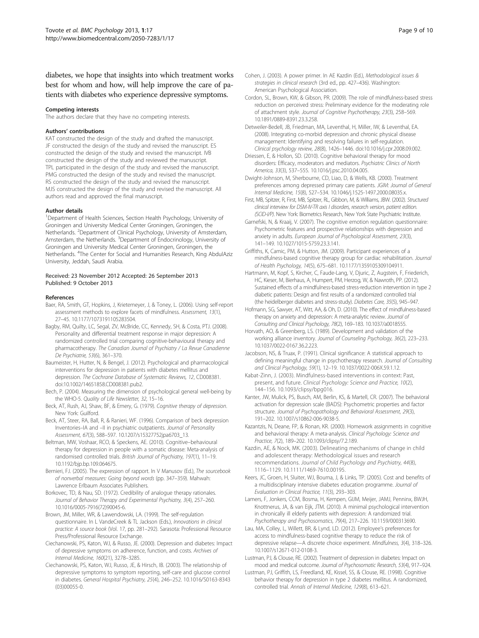<span id="page-8-0"></span>diabetes, we hope that insights into which treatment works best for whom and how, will help improve the care of patients with diabetes who experience depressive symptoms.

#### Competing interests

The authors declare that they have no competing interests.

#### Authors' contributions

KAT constructed the design of the study and drafted the manuscript. JF constructed the design of the study and revised the manuscript. ES constructed the design of the study and revised the manuscript. IVB constructed the design of the study and reviewed the manuscript. TPL participated in the design of the study and revised the manuscript. PMG constructed the design of the study and revised the manuscript. RS constructed the design of the study and revised the manuscript. MJS constructed the design of the study and revised the manuscript. All authors read and approved the final manuscript.

#### Author details

<sup>1</sup>Department of Health Sciences, Section Health Psychology, University of Groningen and University Medical Center Groningen, Groningen, the Netherlands. <sup>2</sup>Department of Clinical Psychology, University of Amsterdam, Amsterdam, the Netherlands. <sup>3</sup>Department of Endocrinology, University of Groningen and University Medical Center Groningen, Groningen, the Netherlands. <sup>4</sup>The Center for Social and Humanities Research, King AbdulAziz University, Jeddah, Saudi Arabia.

#### Received: 23 November 2012 Accepted: 26 September 2013 Published: 9 October 2013

#### References

- Baer, RA, Smith, GT, Hopkins, J, Krietemeyer, J, & Toney, L. (2006). Using self-report assessment methods to explore facets of mindfulness. Assessment, 13(1), 27–45. 10.1177/1073191105283504.
- Bagby, RM, Quilty, LC, Segal, ZV, McBride, CC, Kennedy, SH, & Costa, PTJ. (2008). Personality and differential treatment response in major depression: A randomized controlled trial comparing cognitive-behavioural therapy and pharmacotherapy. The Canadian Journal of Psychiatry / La Revue Canadienne De Psychiatrie, 53(6), 361–370.
- Baumeister, H, Hutter, N, & Bengel, J. (2012). Psychological and pharmacological interventions for depression in patients with diabetes mellitus and depression. The Cochrane Database of Systematic Reviews, 12, CD008381. doi:10.1002/14651858.CD008381.pub2.
- Bech, P. (2004). Measuring the dimension of psychological general well-being by the WHO-5. Quality of Life Newsletter, 32, 15–16.
- Beck, AT, Rush, AJ, Shaw, BF, & Emery, G. (1979). Cognitive therapy of depression. New York: Guilford.
- Beck, AT, Steer, RA, Ball, R, & Ranieri, WF. (1996). Comparison of beck depression Inventories–IA and –II in psychiatric outpatients. Journal of Personality Assessment, 67(3), 588–597. 10.1207/s15327752jpa6703\_13.
- Beltman, MW, Voshaar, RCO, & Speckens, AE. (2010). Cognitive–behavioural therapy for depression in people with a somatic disease: Meta-analysis of randomised controlled trials. British Journal of Psychiatry, 197(1), 11–19. 10.1192/bjp.bp.109.064675.
- Bernieri, FJ. (2005). The expression of rapport. In V Manusov (Ed.), The sourcebook of nonverbal measures: Going beyond words (pp. 347–359). Mahwah: Lawrence Erlbaum Associates Publishers.
- Borkovec, TD, & Nau, SD. (1972). Credibility of analogue therapy rationales. Journal of Behavior Therapy and Experimental Psychiatry, 3(4), 257–260. 10.1016/0005-7916(72)90045-6.
- Brown, JM, Miller, WR, & Lawendowski, LA. (1999). The self-regulation questionnaire. In L VandeCreek & TL Jackson (Eds.), Innovations in clinical practice: A source book (Vol. 17, pp. 281–292). Sarasota: Professional Resource Press/Professional Resource Exchange.
- Ciechanowski, PS, Katon, WJ, & Russo, JE. (2000). Depression and diabetes: Impact of depressive symptoms on adherence, function, and costs. Archives of Internal Medicine, 160(21), 3278–3285.
- Ciechanowski, PS, Katon, WJ, Russo, JE, & Hirsch, IB. (2003). The relationship of depressive symptoms to symptom reporting, self-care and glucose control in diabetes. General Hospital Psychiatry, 25(4), 246–252. 10.1016/S0163-8343 (03)00055-0.
- Cohen, J. (2003). A power primer. In AE Kazdin (Ed.), Methodological issues & strategies in clinical research (3rd ed., pp. 427–436). Washington: American Psychological Association.
- Cordon, SL, Brown, KW, & Gibson, PR. (2009). The role of mindfulness-based stress reduction on perceived stress: Preliminary evidence for the moderating role of attachment style. Journal of Cognitive Psychotherapy, 23(3), 258–569. 10.1891/0889-8391.23.3.258.
- Detweiler-Bedell, JB, Friedman, MA, Leventhal, H, Miller, IW, & Leventhal, EA. (2008). Integrating co-morbid depression and chronic physical disease management: Identifying and resolving failures in self-regulation. Clinical psychology review, 28(8), 1426–1446. doi:10.1016/j.cpr.2008.09.002.
- Driessen, E, & Hollon, SD. (2010). Cognitive behavioral therapy for mood disorders: Efficacy, moderators and mediators. Psychiatric Clinics of North America, 33(3), 537–555. 10.1016/j.psc.2010.04.005.
- Dwight-Johnson, M, Sherbourne, CD, Liao, D, & Wells, KB. (2000). Treatment preferences among depressed primary care patients. JGIM: Journal of General Internal Medicine, 15(8), 527–534. 10.1046/j.1525-1497.2000.08035.x.
- First, MB, Spitzer, R, First, MB, Spitzer, RL, Gibbon, M, & Williams, JBW. (2002). Structured clinical interview for DSM-IV-TR axis I disorders, research version, patient edition. (SCID-I/P). New York: Biometrics Research, New York State Psychiatric Institute.
- Garnefski, N, & Kraaij, V. (2007). The cognitive emotion regulation questionnaire: Psychometric features and prospective relationships with depression and anxiety in adults. European Journal of Psychological Assessment, 23(3), 141–149. 10.1027/1015-5759.23.3.141.
- Griffiths, K, Camic, PM, & Hutton, JM. (2009). Participant experiences of a mindfulness-based cognitive therapy group for cardiac rehabilitation. Journal of Health Psychology, 14(5), 675–681. 10.1177/1359105309104911.
- Hartmann, M, Kopf, S, Kircher, C, Faude-Lang, V, Djuric, Z, Augstein, F, Friederich, HC, Kieser, M, Bierhaus, A, Humpert, PM, Herzog, W, & Nawroth, PP. (2012). Sustained effects of a mindfulness-based stress-reduction intervention in type 2 diabetic patients: Design and first results of a randomized controlled trial (the heidelberger diabetes and stress-study). Diabetes Care, 35(5), 945–947.
- Hofmann, SG, Sawyer, AT, Witt, AA, & Oh, D. (2010). The effect of mindfulness-based therapy on anxiety and depression: A meta-analytic review. Journal of Consulting and Clinical Psychology, 78(2), 169–183. 10.1037/a0018555.
- Horvath, AO, & Greenberg, LS. (1989). Development and validation of the working alliance inventory. Journal of Counseling Psychology, 36(2), 223–233. 10.1037/0022-0167.36.2.223.
- Jacobson, NS, & Truax, P. (1991). Clinical significance: A statistical approach to defining meaningful change in psychotherapy research. Journal of Consulting and Clinical Psychology, 59(1), 12–19. 10.1037/0022-006X.59.1.12.
- Kabat-Zinn, J. (2003). Mindfulness-based interventions in context: Past, present, and future. Clinical Psychology: Science and Practice, 10(2), 144–156. 10.1093/clipsy/bpg016.
- Kanter, JW, Mulick, PS, Busch, AM, Berlin, KS, & Martell, CR. (2007). The behavioral activation for depression scale (BADS): Psychometric properties and factor structure. Journal of Psychopathology and Behavioral Assessment, 29(3), 191–202. 10.1007/s10862-006-9038-5.
- Kazantzis, N, Deane, FP, & Ronan, KR. (2000). Homework assignments in cognitive and behavioral therapy: A meta-analysis. Clinical Psychology: Science and Practice, 7(2), 189–202. 10.1093/clipsy/7.2.189.
- Kazdin, AE, & Nock, MK. (2003). Delineating mechanisms of change in child and adolescent therapy: Methodological issues and research recommendations. Journal of Child Psychology and Psychiatry, 44(8), 1116–1129. 10.1111/1469-7610.00195.
- Keers, JC, Groen, H, Sluiter, WJ, Bouma, J, & Links, TP. (2005). Cost and benefits of a multidisciplinary intensive diabetes education programme. Journal of Evaluation in Clinical Practice, 11(3), 293–303.
- Lamers, F, Jonkers, CCM, Bosma, H, Kempen, GIJM, Meijer, JAMJ, Penninx, BWJH, Knottnerus, JA, & van Eijk, JTM. (2010). A minimal psychological intervention in chronically ill elderly patients with depression: A randomized trial. Psychotherapy and Psychosomatics, 79(4), 217–226. 10.1159/000313690.
- Lau, MA, Colley, L, Willett, BR, & Lynd, LD. (2012). Employee's preferences for access to mindfulness-based cognitive therapy to reduce the risk of depressive relapse—A discrete choice experiment. Mindfulness, 3(4), 318–326. 10.1007/s12671-012-0108-3.
- Lustman, PJ, & Clouse, RE. (2002). Treatment of depression in diabetes: Impact on mood and medical outcome. Journal of Psychosomatic Research, 53(4), 917–924.
- Lustman, PJ, Griffith, LS, Freedland, KE, Kissel, SS, & Clouse, RE. (1998). Cognitive behavior therapy for depression in type 2 diabetes mellitus. A randomized, controlled trial. Annals of Internal Medicine, 129(8), 613–621.